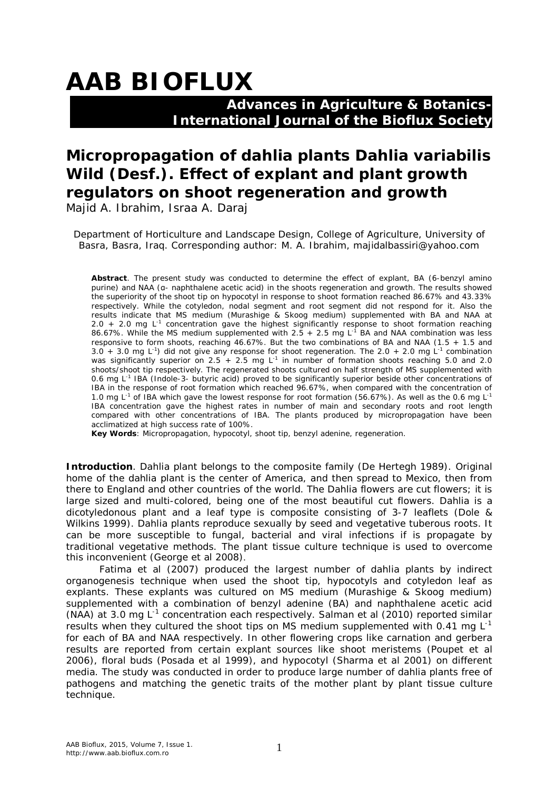# **AAB BIOFLUX**

### **Advances in Agriculture & Botanics- International Journal of the Bioflux Society**

## **Micropropagation of dahlia plants** *Dahlia variabilis* **Wild (Desf.). Effect of explant and plant growth regulators on shoot regeneration and growth**

Majid A. Ibrahim, Israa A. Daraj

Department of Horticulture and Landscape Design, College of Agriculture, University of Basra, Basra, Iraq. Corresponding author: M. A. Ibrahim, majidalbassiri@yahoo.com

**Abstract**. The present study was conducted to determine the effect of explant, BA (6-benzyl amino purine) and NAA (α- naphthalene acetic acid) in the shoots regeneration and growth. The results showed the superiority of the shoot tip on hypocotyl in response to shoot formation reached 86.67% and 43.33% respectively. While the cotyledon, nodal segment and root segment did not respond for it. Also the results indicate that MS medium (Murashige & Skoog medium) supplemented with BA and NAA at 2.0 + 2.0 mg  $L^{-1}$  concentration gave the highest significantly response to shoot formation reaching 86.67%. While the MS medium supplemented with  $2.5 + 2.5$  mg L<sup>-1</sup> BA and NAA combination was less responsive to form shoots, reaching 46.67%. But the two combinations of BA and NAA (1.5 + 1.5 and 3.0 + 3.0 mg  $L^{-1}$ ) did not give any response for shoot regeneration. The 2.0 + 2.0 mg  $L^{-1}$  combination was significantly superior on 2.5 + 2.5 mg  $L^{-1}$  in number of formation shoots reaching 5.0 and 2.0 shoots/shoot tip respectively. The regenerated shoots cultured on half strength of MS supplemented with 0.6 mg L<sup>-1</sup> IBA (Indole-3- butyric acid) proved to be significantly superior beside other concentrations of IBA in the response of root formation which reached 96.67%, when compared with the concentration of 1.0 mg L<sup>-1</sup> of IBA which gave the lowest response for root formation (56.67%). As well as the 0.6 mg L<sup>-1</sup> IBA concentration gave the highest rates in number of main and secondary roots and root length compared with other concentrations of IBA. The plants produced by micropropagation have been acclimatized at high success rate of 100%.

**Key Words**: Micropropagation, hypocotyl, shoot tip, benzyl adenine, regeneration.

**Introduction**. Dahlia plant belongs to the composite family (De Hertegh 1989). Original home of the dahlia plant is the center of America, and then spread to Mexico, then from there to England and other countries of the world. The Dahlia flowers are cut flowers; it is large sized and multi-colored, being one of the most beautiful cut flowers. Dahlia is a dicotyledonous plant and a leaf type is composite consisting of 3-7 leaflets (Dole & Wilkins 1999). Dahlia plants reproduce sexually by seed and vegetative tuberous roots. It can be more susceptible to fungal, bacterial and viral infections if is propagate by traditional vegetative methods. The plant tissue culture technique is used to overcome this inconvenient (George et al 2008).

Fatima et al (2007) produced the largest number of dahlia plants by indirect organogenesis technique when used the shoot tip, hypocotyls and cotyledon leaf as explants. These explants was cultured on MS medium (Murashige & Skoog medium) supplemented with a combination of benzyl adenine (BA) and naphthalene acetic acid (NAA) at 3.0 mg L<sup>-1</sup> concentration each respectively. Salman et al (2010) reported similar results when they cultured the shoot tips on MS medium supplemented with 0.41 mg  $L^{-1}$ for each of BA and NAA respectively. In other flowering crops like carnation and gerbera results are reported from certain explant sources like shoot meristems (Poupet et al 2006), floral buds (Posada et al 1999), and hypocotyl (Sharma et al 2001) on different media. The study was conducted in order to produce large number of dahlia plants free of pathogens and matching the genetic traits of the mother plant by plant tissue culture technique.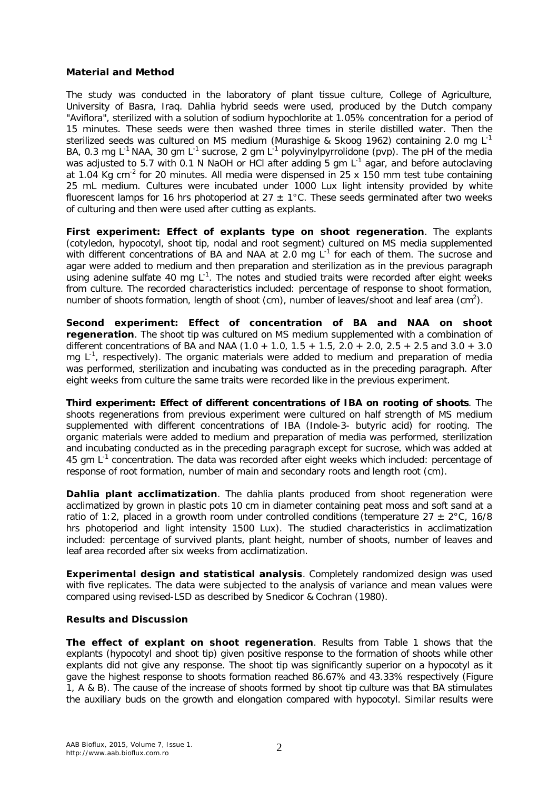#### **Material and Method**

The study was conducted in the laboratory of plant tissue culture, College of Agriculture, University of Basra, Iraq. Dahlia hybrid seeds were used, produced by the Dutch company "Aviflora", sterilized with a solution of sodium hypochlorite at 1.05% concentration for a period of 15 minutes. These seeds were then washed three times in sterile distilled water. Then the sterilized seeds was cultured on MS medium (Murashige & Skoog 1962) containing 2.0 mg L<sup>-1</sup> BA, 0.3 mg L<sup>-1</sup> NAA, 30 gm L<sup>-1</sup> sucrose, 2 gm L<sup>-1</sup> polyvinylpyrrolidone (pvp). The pH of the media was adjusted to 5.7 with 0.1 N NaOH or HCl after adding 5 gm L<sup>-1</sup> agar, and before autoclaving at 1.04 Kg cm<sup>-2</sup> for 20 minutes. All media were dispensed in 25 x 150 mm test tube containing 25 mL medium. Cultures were incubated under 1000 Lux light intensity provided by white fluorescent lamps for 16 hrs photoperiod at  $27 \pm 1^{\circ}$ C. These seeds germinated after two weeks of culturing and then were used after cutting as explants.

*First experiment: Effect of explants type on shoot regeneration*. The explants (cotyledon, hypocotyl, shoot tip, nodal and root segment) cultured on MS media supplemented with different concentrations of BA and NAA at 2.0 mg  $L^{-1}$  for each of them. The sucrose and agar were added to medium and then preparation and sterilization as in the previous paragraph using adenine sulfate 40 mg  $L^{-1}$ . The notes and studied traits were recorded after eight weeks from culture. The recorded characteristics included: percentage of response to shoot formation, number of shoots formation, length of shoot (cm), number of leaves/shoot and leaf area (cm<sup>2</sup>).

*Second experiment: Effect of concentration of BA and NAA on shoot regeneration*. The shoot tip was cultured on MS medium supplemented with a combination of different concentrations of BA and NAA  $(1.0 + 1.0, 1.5 + 1.5, 2.0 + 2.0, 2.5 + 2.5$  and  $3.0 + 3.0$ mg  $L^{-1}$ , respectively). The organic materials were added to medium and preparation of media was performed, sterilization and incubating was conducted as in the preceding paragraph. After eight weeks from culture the same traits were recorded like in the previous experiment.

*Third experiment: Effect of different concentrations of IBA on rooting of shoots*. The shoots regenerations from previous experiment were cultured on half strength of MS medium supplemented with different concentrations of IBA (Indole-3- butyric acid) for rooting. The organic materials were added to medium and preparation of media was performed, sterilization and incubating conducted as in the preceding paragraph except for sucrose, which was added at 45 gm  $L^{-1}$  concentration. The data was recorded after eight weeks which included: percentage of response of root formation, number of main and secondary roots and length root (cm).

**Dahlia plant acclimatization**. The dahlia plants produced from shoot regeneration were acclimatized by grown in plastic pots 10 cm in diameter containing peat moss and soft sand at a ratio of 1:2, placed in a growth room under controlled conditions (temperature  $27 \pm 2^{\circ}$ C, 16/8 hrs photoperiod and light intensity 1500 Lux). The studied characteristics in acclimatization included: percentage of survived plants, plant height, number of shoots, number of leaves and leaf area recorded after six weeks from acclimatization.

*Experimental design and statistical analysis*. Completely randomized design was used with five replicates. The data were subjected to the analysis of variance and mean values were compared using revised-LSD as described by Snedicor & Cochran (1980).

#### **Results and Discussion**

*The effect of explant on shoot regeneration*. Results from Table 1 shows that the explants (hypocotyl and shoot tip) given positive response to the formation of shoots while other explants did not give any response. The shoot tip was significantly superior on a hypocotyl as it gave the highest response to shoots formation reached 86.67% and 43.33% respectively (Figure 1, A & B). The cause of the increase of shoots formed by shoot tip culture was that BA stimulates the auxiliary buds on the growth and elongation compared with hypocotyl. Similar results were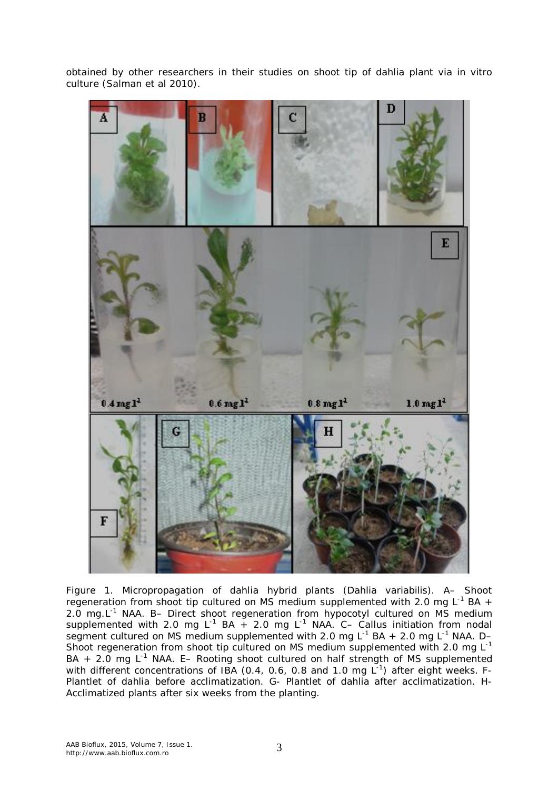obtained by other researchers in their studies on shoot tip of dahlia plant via *in vitro* culture (Salman et al 2010).



Figure 1. Micropropagation of dahlia hybrid plants (*Dahlia variabilis*). A– Shoot regeneration from shoot tip cultured on MS medium supplemented with 2.0 mg L<sup>-1</sup> BA + 2.0 mg.L<sup>-1</sup> NAA. B- Direct shoot regeneration from hypocotyl cultured on MS medium supplemented with 2.0 mg L<sup>-1</sup> BA + 2.0 mg L<sup>-1</sup> NAA. C– Callus initiation from nodal segment cultured on MS medium supplemented with 2.0 mg L<sup>-1</sup> BA + 2.0 mg L<sup>-1</sup> NAA. D-Shoot regeneration from shoot tip cultured on MS medium supplemented with 2.0 mg  $L^{-1}$ BA  $+$  2.0 mg L<sup>-1</sup> NAA. E- Rooting shoot cultured on half strength of MS supplemented with different concentrations of IBA (0.4, 0.6, 0.8 and 1.0 mg  $L^{-1}$ ) after eight weeks. F-Plantlet of dahlia before acclimatization. G- Plantlet of dahlia after acclimatization. H-Acclimatized plants after six weeks from the planting.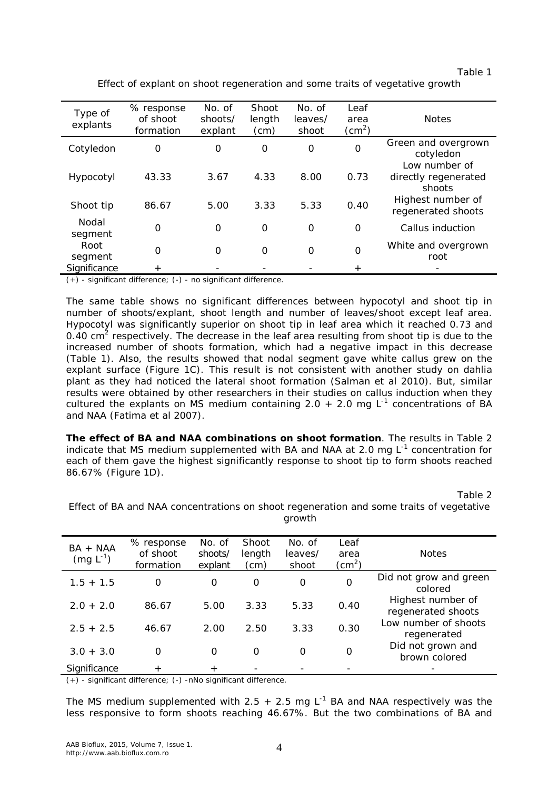|                                                                              | Table 1 |
|------------------------------------------------------------------------------|---------|
| Effect of explant on shoot regeneration and some traits of vegetative growth |         |

| Type of<br>explants | % response<br>of shoot<br>formation | No. of<br>shoots/<br>explant | <b>Shoot</b><br>length<br>(cm) | No. of<br>leaves/<br>shoot | Leaf<br>area<br>(cm $^2$ ) | <b>Notes</b>                                    |
|---------------------|-------------------------------------|------------------------------|--------------------------------|----------------------------|----------------------------|-------------------------------------------------|
| Cotyledon           | 0                                   | 0                            | 0                              | $\Omega$                   | $\Omega$                   | Green and overgrown<br>cotyledon                |
| Hypocotyl           | 43.33                               | 3.67                         | 4.33                           | 8.00                       | 0.73                       | Low number of<br>directly regenerated<br>shoots |
| Shoot tip           | 86.67                               | 5.00                         | 3.33                           | 5.33                       | 0.40                       | Highest number of<br>regenerated shoots         |
| Nodal<br>segment    | 0                                   | $\Omega$                     | $\Omega$                       | $\Omega$                   | $\Omega$                   | Callus induction                                |
| Root<br>segment     | 0                                   | $\Omega$                     | $\Omega$                       | $\Omega$                   | $\Omega$                   | White and overgrown<br>root                     |
| Significance        | $+$                                 |                              |                                |                            |                            |                                                 |

(+) - significant difference; (-) - no significant difference.

The same table shows no significant differences between hypocotyl and shoot tip in number of shoots/explant, shoot length and number of leaves/shoot except leaf area. Hypocotyl was significantly superior on shoot tip in leaf area which it reached 0.73 and 0.40 cm<sup>2</sup> respectively. The decrease in the leaf area resulting from shoot tip is due to the increased number of shoots formation, which had a negative impact in this decrease (Table 1). Also, the results showed that nodal segment gave white callus grew on the explant surface (Figure 1C). This result is not consistent with another study on dahlia plant as they had noticed the lateral shoot formation (Salman et al 2010). But, similar results were obtained by other researchers in their studies on callus induction when they cultured the explants on MS medium containing 2.0  $+$  2.0 mg L<sup>-1</sup> concentrations of BA and NAA (Fatima et al 2007).

*The effect of BA and NAA combinations on shoot formation*. The results in Table 2 indicate that MS medium supplemented with BA and NAA at 2.0 mg  $L^{-1}$  concentration for each of them gave the highest significantly response to shoot tip to form shoots reached 86.67% (Figure 1D).

Table 2

| $BA + NAA$<br>$(mg L^{-1})$ | % response<br>of shoot<br>formation | No. of<br>shoots/<br>explant | Shoot<br>length<br>(cm) | No. of<br>leaves/<br>shoot | Leaf<br>area<br>(cm $^2$ ) | <b>Notes</b>                            |
|-----------------------------|-------------------------------------|------------------------------|-------------------------|----------------------------|----------------------------|-----------------------------------------|
| $1.5 + 1.5$                 | O                                   | O                            | O                       | O                          | 0                          | Did not grow and green<br>colored       |
| $2.0 + 2.0$                 | 86.67                               | 5.00                         | 3.33                    | 5.33                       | 0.40                       | Highest number of<br>regenerated shoots |
| $2.5 + 2.5$                 | 46.67                               | 2.00                         | 2.50                    | 3.33                       | 0.30                       | Low number of shoots<br>regenerated     |
| $3.0 + 3.0$                 | $\Omega$                            | O                            | O                       | O                          | O                          | Did not grown and<br>brown colored      |
| Significance                | $\mathrm{+}$                        | $\pm$                        |                         |                            |                            |                                         |

Effect of BA and NAA concentrations on shoot regeneration and some traits of vegetative growth

(+) - significant difference; (-) -nNo significant difference.

The MS medium supplemented with 2.5  $+$  2.5 mg L<sup>-1</sup> BA and NAA respectively was the less responsive to form shoots reaching 46.67%. But the two combinations of BA and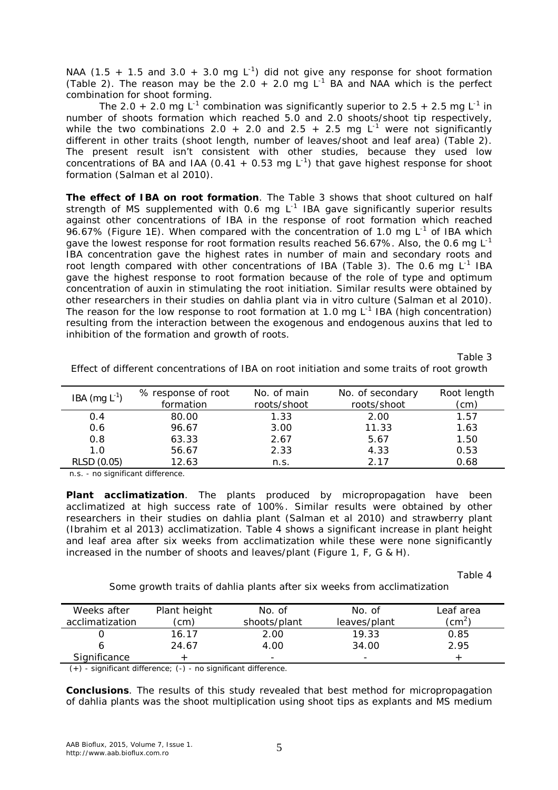NAA (1.5 + 1.5 and 3.0 + 3.0 mg  $L^{-1}$ ) did not give any response for shoot formation (Table 2). The reason may be the 2.0 + 2.0 mg  $L^{-1}$  BA and NAA which is the perfect combination for shoot forming.

The 2.0 + 2.0 mg L<sup>-1</sup> combination was significantly superior to 2.5 + 2.5 mg L<sup>-1</sup> in number of shoots formation which reached 5.0 and 2.0 shoots/shoot tip respectively, while the two combinations 2.0 + 2.0 and 2.5 + 2.5 mg  $L^{-1}$  were not significantly different in other traits (shoot length, number of leaves/shoot and leaf area) (Table 2). The present result isn't consistent with other studies, because they used low concentrations of BA and IAA (0.41  $+$  0.53 mg L<sup>-1</sup>) that gave highest response for shoot formation (Salman et al 2010).

*The effect of IBA on root formation*. The Table 3 shows that shoot cultured on half strength of MS supplemented with 0.6 mg  $L^{-1}$  IBA gave significantly superior results against other concentrations of IBA in the response of root formation which reached 96.67% (Figure 1E). When compared with the concentration of 1.0 mg  $L^{-1}$  of IBA which gave the lowest response for root formation results reached 56.67%. Also, the 0.6 mg L<sup>-1</sup> IBA concentration gave the highest rates in number of main and secondary roots and root length compared with other concentrations of IBA (Table 3). The 0.6 mg  $L^{-1}$  IBA gave the highest response to root formation because of the role of type and optimum concentration of auxin in stimulating the root initiation. Similar results were obtained by other researchers in their studies on dahlia plant via *in vitro* culture (Salman et al 2010). The reason for the low response to root formation at 1.0 mg  $L^{-1}$  IBA (high concentration) resulting from the interaction between the exogenous and endogenous auxins that led to inhibition of the formation and growth of roots.

Table 3

| IBA $(mg L-1)$ | % response of root | No. of main | No. of secondary | Root length |
|----------------|--------------------|-------------|------------------|-------------|
|                | formation          | roots/shoot | roots/shoot      | (cm)        |
| 0.4            | 80.00              | 1.33        | 2.00             | 1.57        |
| 0.6            | 96.67              | 3.00        | 11.33            | 1.63        |
| 0.8            | 63.33              | 2.67        | 5.67             | 1.50        |
| 1.0            | 56.67              | 2.33        | 4.33             | 0.53        |
| RLSD (0.05)    | 12.63              | n.s.        | 2 17             | 0.68        |
|                |                    |             |                  |             |

Effect of different concentrations of IBA on root initiation and some traits of root growth

n.s. - no significant difference.

**Plant acclimatization**. The plants produced by micropropagation have been acclimatized at high success rate of 100%. Similar results were obtained by other researchers in their studies on dahlia plant (Salman et al 2010) and strawberry plant (Ibrahim et al 2013) acclimatization. Table 4 shows a significant increase in plant height and leaf area after six weeks from acclimatization while these were none significantly increased in the number of shoots and leaves/plant (Figure 1, F, G & H).

Table 4

Some growth traits of dahlia plants after six weeks from acclimatization

| Weeks after<br>acclimatization | Plant height<br>(cm) | No. of<br>shoots/plant | No. of<br>leaves/plant | Leaf area<br>$\zeta$ |
|--------------------------------|----------------------|------------------------|------------------------|----------------------|
|                                | 16.17                | 2.00                   | 19.33                  | 0.85                 |
|                                | 24.67                | 4.00                   | 34.00                  | 2.95                 |
| Significance                   |                      | -                      | -                      |                      |

(+) - significant difference; (-) - no significant difference.

**Conclusions**. The results of this study revealed that best method for micropropagation of dahlia plants was the shoot multiplication using shoot tips as explants and MS medium